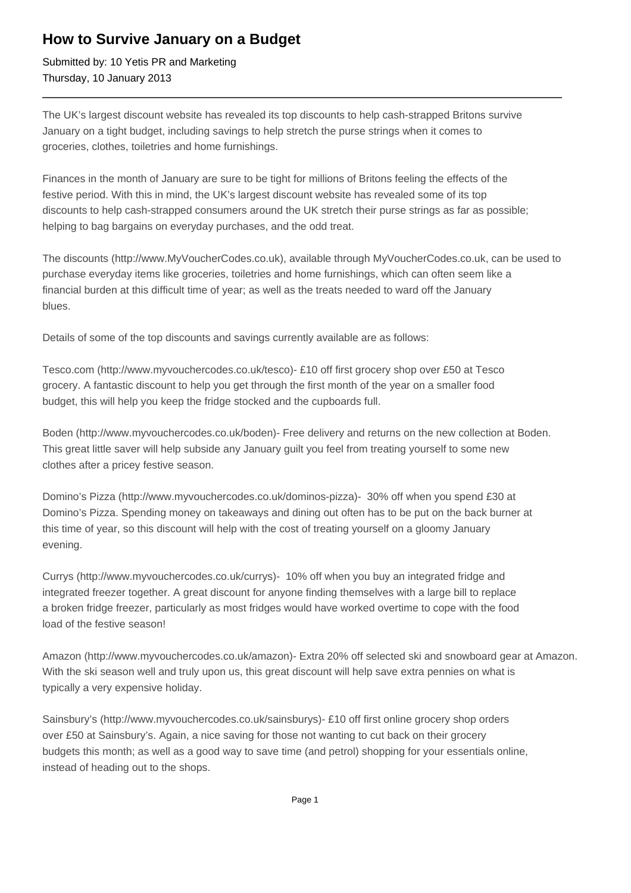## **How to Survive January on a Budget**

Submitted by: 10 Yetis PR and Marketing Thursday, 10 January 2013

The UK's largest discount website has revealed its top discounts to help cash-strapped Britons survive January on a tight budget, including savings to help stretch the purse strings when it comes to groceries, clothes, toiletries and home furnishings.

Finances in the month of January are sure to be tight for millions of Britons feeling the effects of the festive period. With this in mind, the UK's largest discount website has revealed some of its top discounts to help cash-strapped consumers around the UK stretch their purse strings as far as possible; helping to bag bargains on everyday purchases, and the odd treat.

The discounts (http://www.MyVoucherCodes.co.uk), available through MyVoucherCodes.co.uk, can be used to purchase everyday items like groceries, toiletries and home furnishings, which can often seem like a financial burden at this difficult time of year; as well as the treats needed to ward off the January blues.

Details of some of the top discounts and savings currently available are as follows:

Tesco.com (http://www.myvouchercodes.co.uk/tesco)- £10 off first grocery shop over £50 at Tesco grocery. A fantastic discount to help you get through the first month of the year on a smaller food budget, this will help you keep the fridge stocked and the cupboards full.

Boden (http://www.myvouchercodes.co.uk/boden)- Free delivery and returns on the new collection at Boden. This great little saver will help subside any January guilt you feel from treating yourself to some new clothes after a pricey festive season.

Domino's Pizza (http://www.myvouchercodes.co.uk/dominos-pizza)- 30% off when you spend £30 at Domino's Pizza. Spending money on takeaways and dining out often has to be put on the back burner at this time of year, so this discount will help with the cost of treating yourself on a gloomy January evening.

Currys (http://www.myvouchercodes.co.uk/currys)- 10% off when you buy an integrated fridge and integrated freezer together. A great discount for anyone finding themselves with a large bill to replace a broken fridge freezer, particularly as most fridges would have worked overtime to cope with the food load of the festive season!

Amazon (http://www.myvouchercodes.co.uk/amazon)- Extra 20% off selected ski and snowboard gear at Amazon. With the ski season well and truly upon us, this great discount will help save extra pennies on what is typically a very expensive holiday.

Sainsbury's (http://www.myvouchercodes.co.uk/sainsburys)- £10 off first online grocery shop orders over £50 at Sainsbury's. Again, a nice saving for those not wanting to cut back on their grocery budgets this month; as well as a good way to save time (and petrol) shopping for your essentials online, instead of heading out to the shops.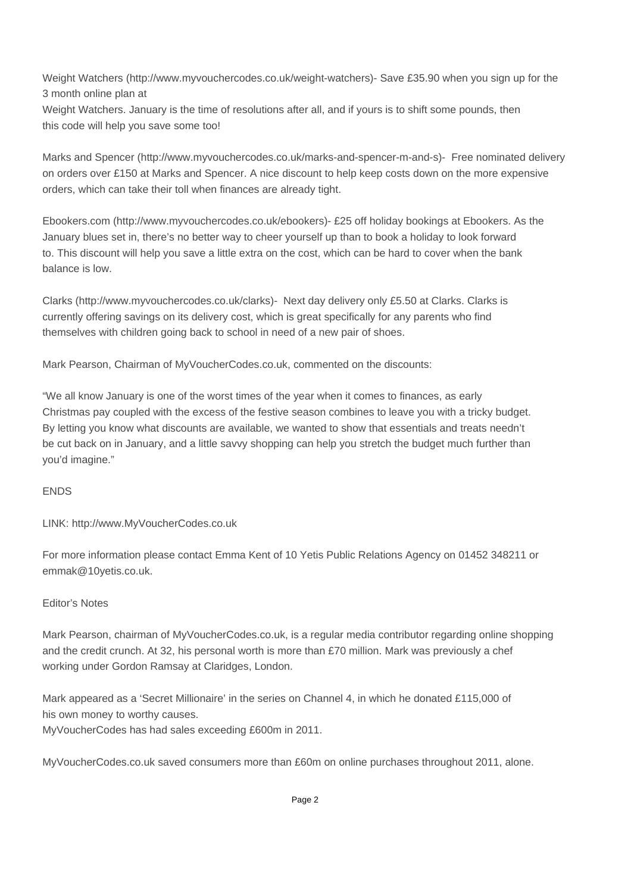Weight Watchers (http://www.myvouchercodes.co.uk/weight-watchers)- Save £35.90 when you sign up for the 3 month online plan at

Weight Watchers. January is the time of resolutions after all, and if yours is to shift some pounds, then this code will help you save some too!

Marks and Spencer (http://www.myvouchercodes.co.uk/marks-and-spencer-m-and-s)- Free nominated delivery on orders over £150 at Marks and Spencer. A nice discount to help keep costs down on the more expensive orders, which can take their toll when finances are already tight.

Ebookers.com (http://www.myvouchercodes.co.uk/ebookers)- £25 off holiday bookings at Ebookers. As the January blues set in, there's no better way to cheer yourself up than to book a holiday to look forward to. This discount will help you save a little extra on the cost, which can be hard to cover when the bank balance is low.

Clarks (http://www.myvouchercodes.co.uk/clarks)- Next day delivery only £5.50 at Clarks. Clarks is currently offering savings on its delivery cost, which is great specifically for any parents who find themselves with children going back to school in need of a new pair of shoes.

Mark Pearson, Chairman of MyVoucherCodes.co.uk, commented on the discounts:

"We all know January is one of the worst times of the year when it comes to finances, as early Christmas pay coupled with the excess of the festive season combines to leave you with a tricky budget. By letting you know what discounts are available, we wanted to show that essentials and treats needn't be cut back on in January, and a little savvy shopping can help you stretch the budget much further than you'd imagine."

## ENDS

LINK: http://www.MyVoucherCodes.co.uk

For more information please contact Emma Kent of 10 Yetis Public Relations Agency on 01452 348211 or emmak@10yetis.co.uk.

## Editor's Notes

Mark Pearson, chairman of MyVoucherCodes.co.uk, is a regular media contributor regarding online shopping and the credit crunch. At 32, his personal worth is more than £70 million. Mark was previously a chef working under Gordon Ramsay at Claridges, London.

Mark appeared as a 'Secret Millionaire' in the series on Channel 4, in which he donated £115,000 of his own money to worthy causes.

MyVoucherCodes has had sales exceeding £600m in 2011.

MyVoucherCodes.co.uk saved consumers more than £60m on online purchases throughout 2011, alone.